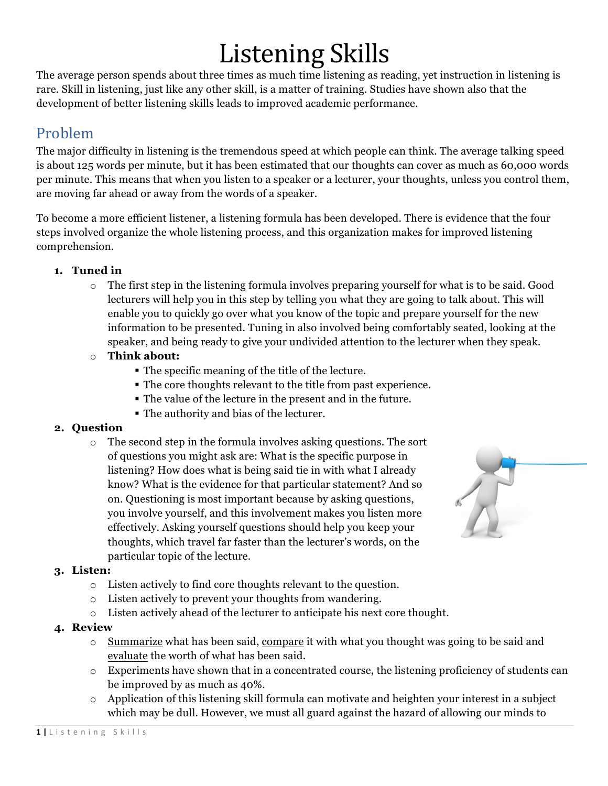# Listening Skills

The average person spends about three times as much time listening as reading, yet instruction in listening is rare. Skill in listening, just like any other skill, is a matter of training. Studies have shown also that the development of better listening skills leads to improved academic performance.

### Problem

The major difficulty in listening is the tremendous speed at which people can think. The average talking speed is about 125 words per minute, but it has been estimated that our thoughts can cover as much as 60,000 words per minute. This means that when you listen to a speaker or a lecturer, your thoughts, unless you control them, are moving far ahead or away from the words of a speaker.

To become a more efficient listener, a listening formula has been developed. There is evidence that the four steps involved organize the whole listening process, and this organization makes for improved listening comprehension.

#### **1. Tuned in**

- $\circ$  The first step in the listening formula involves preparing yourself for what is to be said. Good lecturers will help you in this step by telling you what they are going to talk about. This will enable you to quickly go over what you know of the topic and prepare yourself for the new information to be presented. Tuning in also involved being comfortably seated, looking at the speaker, and being ready to give your undivided attention to the lecturer when they speak.
- o **Think about:**
	- § The specific meaning of the title of the lecture.
	- § The core thoughts relevant to the title from past experience.
	- § The value of the lecture in the present and in the future.
	- § The authority and bias of the lecturer.

#### **2. Question**

o The second step in the formula involves asking questions. The sort of questions you might ask are: What is the specific purpose in listening? How does what is being said tie in with what I already know? What is the evidence for that particular statement? And so on. Questioning is most important because by asking questions, you involve yourself, and this involvement makes you listen more effectively. Asking yourself questions should help you keep your thoughts, which travel far faster than the lecturer's words, on the particular topic of the lecture.



#### **3. Listen:**

- o Listen actively to find core thoughts relevant to the question.
- o Listen actively to prevent your thoughts from wandering.
- o Listen actively ahead of the lecturer to anticipate his next core thought.

#### **4. Review**

- o Summarize what has been said, compare it with what you thought was going to be said and evaluate the worth of what has been said.
- $\circ$  Experiments have shown that in a concentrated course, the listening proficiency of students can be improved by as much as 40%.
- $\circ$  Application of this listening skill formula can motivate and heighten your interest in a subject which may be dull. However, we must all guard against the hazard of allowing our minds to